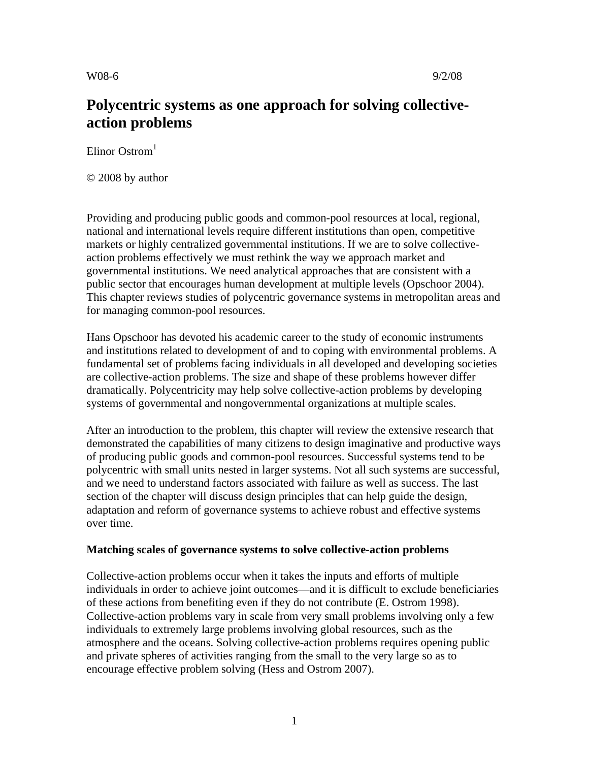W08-6 9/2/08

# **Polycentric systems as one approach for solving collectiveaction problems**

Elinor Ostrom $<sup>1</sup>$ </sup>

© 2008 by author

Providing and producing public goods and common-pool resources at local, regional, national and international levels require different institutions than open, competitive markets or highly centralized governmental institutions. If we are to solve collectiveaction problems effectively we must rethink the way we approach market and governmental institutions. We need analytical approaches that are consistent with a public sector that encourages human development at multiple levels (Opschoor 2004). This chapter reviews studies of polycentric governance systems in metropolitan areas and for managing common-pool resources.

Hans Opschoor has devoted his academic career to the study of economic instruments and institutions related to development of and to coping with environmental problems. A fundamental set of problems facing individuals in all developed and developing societies are collective-action problems. The size and shape of these problems however differ dramatically. Polycentricity may help solve collective-action problems by developing systems of governmental and nongovernmental organizations at multiple scales.

After an introduction to the problem, this chapter will review the extensive research that demonstrated the capabilities of many citizens to design imaginative and productive ways of producing public goods and common-pool resources. Successful systems tend to be polycentric with small units nested in larger systems. Not all such systems are successful, and we need to understand factors associated with failure as well as success. The last section of the chapter will discuss design principles that can help guide the design, adaptation and reform of governance systems to achieve robust and effective systems over time.

# **Matching scales of governance systems to solve collective-action problems**

Collective-action problems occur when it takes the inputs and efforts of multiple individuals in order to achieve joint outcomes—and it is difficult to exclude beneficiaries of these actions from benefiting even if they do not contribute (E. Ostrom 1998). Collective-action problems vary in scale from very small problems involving only a few individuals to extremely large problems involving global resources, such as the atmosphere and the oceans. Solving collective-action problems requires opening public and private spheres of activities ranging from the small to the very large so as to encourage effective problem solving (Hess and Ostrom 2007).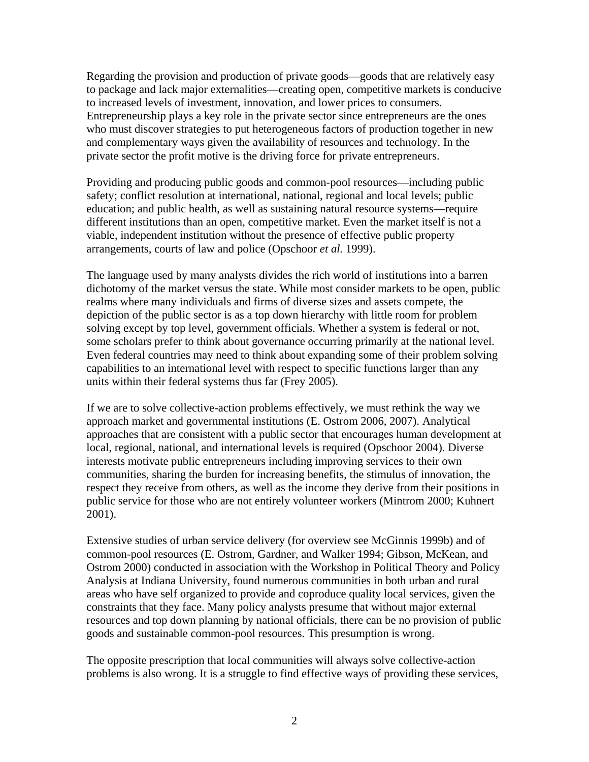Regarding the provision and production of private goods—goods that are relatively easy to package and lack major externalities—creating open, competitive markets is conducive to increased levels of investment, innovation, and lower prices to consumers. Entrepreneurship plays a key role in the private sector since entrepreneurs are the ones who must discover strategies to put heterogeneous factors of production together in new and complementary ways given the availability of resources and technology. In the private sector the profit motive is the driving force for private entrepreneurs.

Providing and producing public goods and common-pool resources—including public safety; conflict resolution at international, national, regional and local levels; public education; and public health, as well as sustaining natural resource systems—require different institutions than an open, competitive market. Even the market itself is not a viable, independent institution without the presence of effective public property arrangements, courts of law and police (Opschoor *et al.* 1999).

The language used by many analysts divides the rich world of institutions into a barren dichotomy of the market versus the state. While most consider markets to be open, public realms where many individuals and firms of diverse sizes and assets compete, the depiction of the public sector is as a top down hierarchy with little room for problem solving except by top level, government officials. Whether a system is federal or not, some scholars prefer to think about governance occurring primarily at the national level. Even federal countries may need to think about expanding some of their problem solving capabilities to an international level with respect to specific functions larger than any units within their federal systems thus far (Frey 2005).

If we are to solve collective-action problems effectively, we must rethink the way we approach market and governmental institutions (E. Ostrom 2006, 2007). Analytical approaches that are consistent with a public sector that encourages human development at local, regional, national, and international levels is required (Opschoor 2004). Diverse interests motivate public entrepreneurs including improving services to their own communities, sharing the burden for increasing benefits, the stimulus of innovation, the respect they receive from others, as well as the income they derive from their positions in public service for those who are not entirely volunteer workers (Mintrom 2000; Kuhnert 2001).

Extensive studies of urban service delivery (for overview see McGinnis 1999b) and of common-pool resources (E. Ostrom, Gardner, and Walker 1994; Gibson, McKean, and Ostrom 2000) conducted in association with the Workshop in Political Theory and Policy Analysis at Indiana University, found numerous communities in both urban and rural areas who have self organized to provide and coproduce quality local services, given the constraints that they face. Many policy analysts presume that without major external resources and top down planning by national officials, there can be no provision of public goods and sustainable common-pool resources. This presumption is wrong.

The opposite prescription that local communities will always solve collective-action problems is also wrong. It is a struggle to find effective ways of providing these services,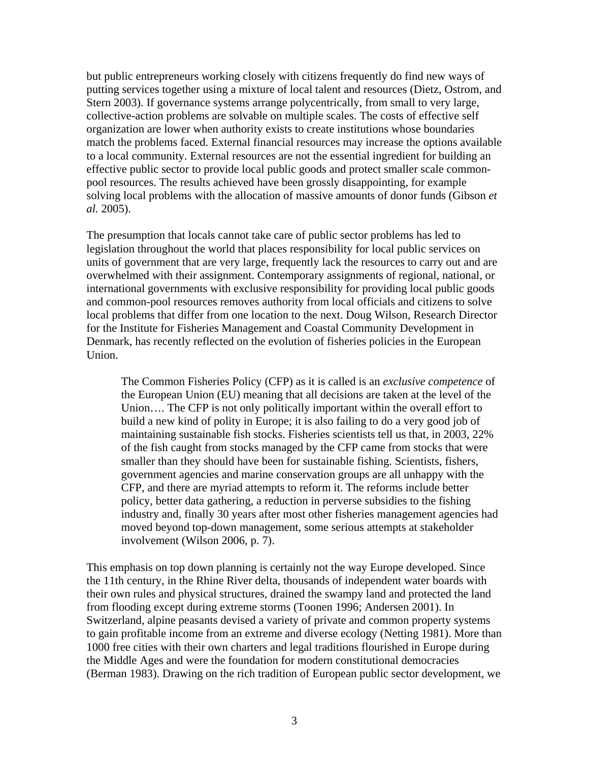but public entrepreneurs working closely with citizens frequently do find new ways of putting services together using a mixture of local talent and resources (Dietz, Ostrom, and Stern 2003). If governance systems arrange polycentrically, from small to very large, collective-action problems are solvable on multiple scales. The costs of effective self organization are lower when authority exists to create institutions whose boundaries match the problems faced. External financial resources may increase the options available to a local community. External resources are not the essential ingredient for building an effective public sector to provide local public goods and protect smaller scale commonpool resources. The results achieved have been grossly disappointing, for example solving local problems with the allocation of massive amounts of donor funds (Gibson *et al.* 2005).

The presumption that locals cannot take care of public sector problems has led to legislation throughout the world that places responsibility for local public services on units of government that are very large, frequently lack the resources to carry out and are overwhelmed with their assignment. Contemporary assignments of regional, national, or international governments with exclusive responsibility for providing local public goods and common-pool resources removes authority from local officials and citizens to solve local problems that differ from one location to the next. Doug Wilson, Research Director for the Institute for Fisheries Management and Coastal Community Development in Denmark, has recently reflected on the evolution of fisheries policies in the European Union.

The Common Fisheries Policy (CFP) as it is called is an *exclusive competence* of the European Union (EU) meaning that all decisions are taken at the level of the Union…. The CFP is not only politically important within the overall effort to build a new kind of polity in Europe; it is also failing to do a very good job of maintaining sustainable fish stocks. Fisheries scientists tell us that, in 2003, 22% of the fish caught from stocks managed by the CFP came from stocks that were smaller than they should have been for sustainable fishing. Scientists, fishers, government agencies and marine conservation groups are all unhappy with the CFP, and there are myriad attempts to reform it. The reforms include better policy, better data gathering, a reduction in perverse subsidies to the fishing industry and, finally 30 years after most other fisheries management agencies had moved beyond top-down management, some serious attempts at stakeholder involvement (Wilson 2006, p. 7).

This emphasis on top down planning is certainly not the way Europe developed. Since the 11th century, in the Rhine River delta, thousands of independent water boards with their own rules and physical structures, drained the swampy land and protected the land from flooding except during extreme storms (Toonen 1996; Andersen 2001). In Switzerland, alpine peasants devised a variety of private and common property systems to gain profitable income from an extreme and diverse ecology (Netting 1981). More than 1000 free cities with their own charters and legal traditions flourished in Europe during the Middle Ages and were the foundation for modern constitutional democracies (Berman 1983). Drawing on the rich tradition of European public sector development, we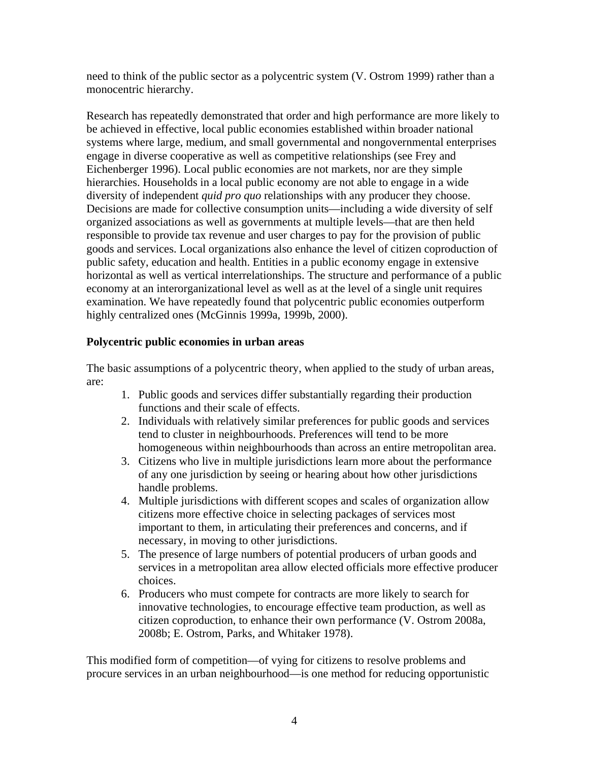need to think of the public sector as a polycentric system (V. Ostrom 1999) rather than a monocentric hierarchy.

Research has repeatedly demonstrated that order and high performance are more likely to be achieved in effective, local public economies established within broader national systems where large, medium, and small governmental and nongovernmental enterprises engage in diverse cooperative as well as competitive relationships (see Frey and Eichenberger 1996). Local public economies are not markets, nor are they simple hierarchies. Households in a local public economy are not able to engage in a wide diversity of independent *quid pro quo* relationships with any producer they choose. Decisions are made for collective consumption units—including a wide diversity of self organized associations as well as governments at multiple levels—that are then held responsible to provide tax revenue and user charges to pay for the provision of public goods and services. Local organizations also enhance the level of citizen coproduction of public safety, education and health. Entities in a public economy engage in extensive horizontal as well as vertical interrelationships. The structure and performance of a public economy at an interorganizational level as well as at the level of a single unit requires examination. We have repeatedly found that polycentric public economies outperform highly centralized ones (McGinnis 1999a, 1999b, 2000).

# **Polycentric public economies in urban areas**

The basic assumptions of a polycentric theory, when applied to the study of urban areas, are:

- 1. Public goods and services differ substantially regarding their production functions and their scale of effects.
- 2. Individuals with relatively similar preferences for public goods and services tend to cluster in neighbourhoods. Preferences will tend to be more homogeneous within neighbourhoods than across an entire metropolitan area.
- 3. Citizens who live in multiple jurisdictions learn more about the performance of any one jurisdiction by seeing or hearing about how other jurisdictions handle problems.
- 4. Multiple jurisdictions with different scopes and scales of organization allow citizens more effective choice in selecting packages of services most important to them, in articulating their preferences and concerns, and if necessary, in moving to other jurisdictions.
- 5. The presence of large numbers of potential producers of urban goods and services in a metropolitan area allow elected officials more effective producer choices.
- 6. Producers who must compete for contracts are more likely to search for innovative technologies, to encourage effective team production, as well as citizen coproduction, to enhance their own performance (V. Ostrom 2008a, 2008b; E. Ostrom, Parks, and Whitaker 1978).

This modified form of competition—of vying for citizens to resolve problems and procure services in an urban neighbourhood—is one method for reducing opportunistic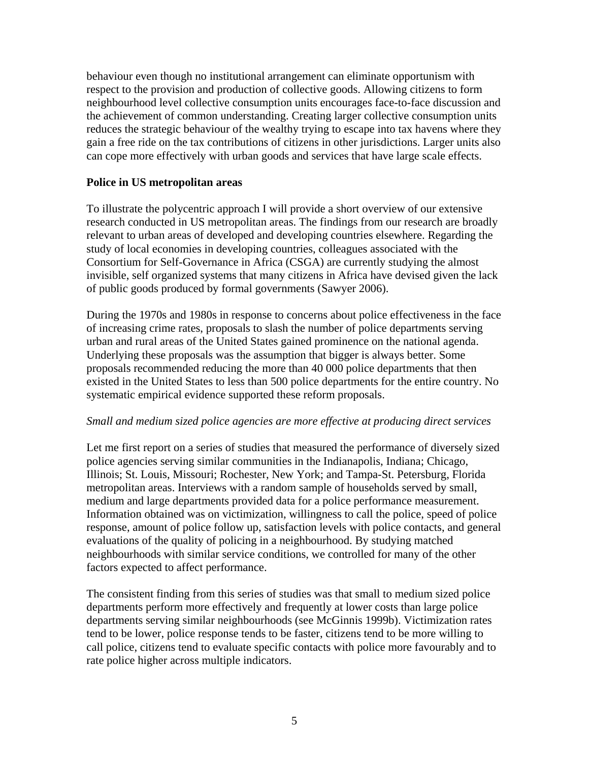behaviour even though no institutional arrangement can eliminate opportunism with respect to the provision and production of collective goods. Allowing citizens to form neighbourhood level collective consumption units encourages face-to-face discussion and the achievement of common understanding. Creating larger collective consumption units reduces the strategic behaviour of the wealthy trying to escape into tax havens where they gain a free ride on the tax contributions of citizens in other jurisdictions. Larger units also can cope more effectively with urban goods and services that have large scale effects.

#### **Police in US metropolitan areas**

To illustrate the polycentric approach I will provide a short overview of our extensive research conducted in US metropolitan areas. The findings from our research are broadly relevant to urban areas of developed and developing countries elsewhere. Regarding the study of local economies in developing countries, colleagues associated with the Consortium for Self-Governance in Africa (CSGA) are currently studying the almost invisible, self organized systems that many citizens in Africa have devised given the lack of public goods produced by formal governments (Sawyer 2006).

During the 1970s and 1980s in response to concerns about police effectiveness in the face of increasing crime rates, proposals to slash the number of police departments serving urban and rural areas of the United States gained prominence on the national agenda. Underlying these proposals was the assumption that bigger is always better. Some proposals recommended reducing the more than 40 000 police departments that then existed in the United States to less than 500 police departments for the entire country. No systematic empirical evidence supported these reform proposals.

#### *Small and medium sized police agencies are more effective at producing direct services*

Let me first report on a series of studies that measured the performance of diversely sized police agencies serving similar communities in the Indianapolis, Indiana; Chicago, Illinois; St. Louis, Missouri; Rochester, New York; and Tampa-St. Petersburg, Florida metropolitan areas. Interviews with a random sample of households served by small, medium and large departments provided data for a police performance measurement. Information obtained was on victimization, willingness to call the police, speed of police response, amount of police follow up, satisfaction levels with police contacts, and general evaluations of the quality of policing in a neighbourhood. By studying matched neighbourhoods with similar service conditions, we controlled for many of the other factors expected to affect performance.

The consistent finding from this series of studies was that small to medium sized police departments perform more effectively and frequently at lower costs than large police departments serving similar neighbourhoods (see McGinnis 1999b). Victimization rates tend to be lower, police response tends to be faster, citizens tend to be more willing to call police, citizens tend to evaluate specific contacts with police more favourably and to rate police higher across multiple indicators.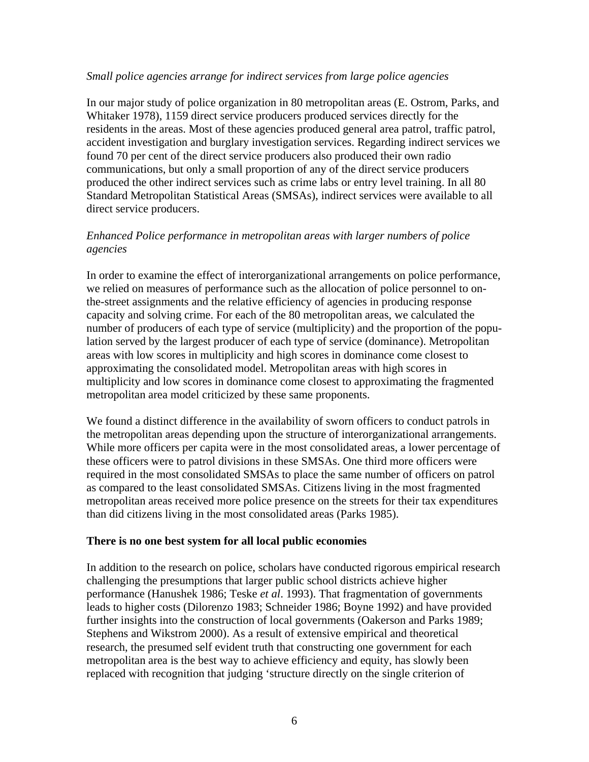#### *Small police agencies arrange for indirect services from large police agencies*

In our major study of police organization in 80 metropolitan areas (E. Ostrom, Parks, and Whitaker 1978), 1159 direct service producers produced services directly for the residents in the areas. Most of these agencies produced general area patrol, traffic patrol, accident investigation and burglary investigation services. Regarding indirect services we found 70 per cent of the direct service producers also produced their own radio communications, but only a small proportion of any of the direct service producers produced the other indirect services such as crime labs or entry level training. In all 80 Standard Metropolitan Statistical Areas (SMSAs), indirect services were available to all direct service producers.

### *Enhanced Police performance in metropolitan areas with larger numbers of police agencies*

In order to examine the effect of interorganizational arrangements on police performance, we relied on measures of performance such as the allocation of police personnel to onthe-street assignments and the relative efficiency of agencies in producing response capacity and solving crime. For each of the 80 metropolitan areas, we calculated the number of producers of each type of service (multiplicity) and the proportion of the population served by the largest producer of each type of service (dominance). Metropolitan areas with low scores in multiplicity and high scores in dominance come closest to approximating the consolidated model. Metropolitan areas with high scores in multiplicity and low scores in dominance come closest to approximating the fragmented metropolitan area model criticized by these same proponents.

We found a distinct difference in the availability of sworn officers to conduct patrols in the metropolitan areas depending upon the structure of interorganizational arrangements. While more officers per capita were in the most consolidated areas, a lower percentage of these officers were to patrol divisions in these SMSAs. One third more officers were required in the most consolidated SMSAs to place the same number of officers on patrol as compared to the least consolidated SMSAs. Citizens living in the most fragmented metropolitan areas received more police presence on the streets for their tax expenditures than did citizens living in the most consolidated areas (Parks 1985).

#### **There is no one best system for all local public economies**

In addition to the research on police, scholars have conducted rigorous empirical research challenging the presumptions that larger public school districts achieve higher performance (Hanushek 1986; Teske *et al*. 1993). That fragmentation of governments leads to higher costs (Dilorenzo 1983; Schneider 1986; Boyne 1992) and have provided further insights into the construction of local governments (Oakerson and Parks 1989; Stephens and Wikstrom 2000). As a result of extensive empirical and theoretical research, the presumed self evident truth that constructing one government for each metropolitan area is the best way to achieve efficiency and equity, has slowly been replaced with recognition that judging 'structure directly on the single criterion of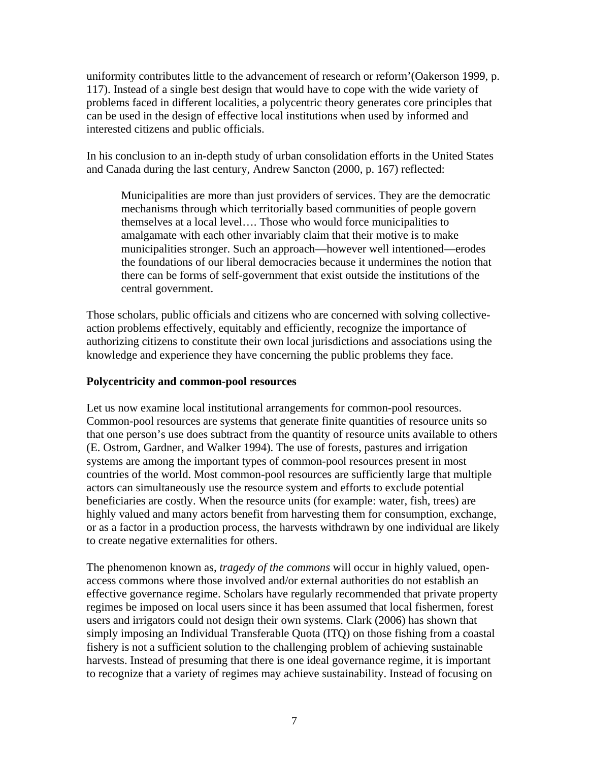uniformity contributes little to the advancement of research or reform'(Oakerson 1999, p. 117). Instead of a single best design that would have to cope with the wide variety of problems faced in different localities, a polycentric theory generates core principles that can be used in the design of effective local institutions when used by informed and interested citizens and public officials.

In his conclusion to an in-depth study of urban consolidation efforts in the United States and Canada during the last century, Andrew Sancton (2000, p. 167) reflected:

Municipalities are more than just providers of services. They are the democratic mechanisms through which territorially based communities of people govern themselves at a local level…. Those who would force municipalities to amalgamate with each other invariably claim that their motive is to make municipalities stronger. Such an approach—however well intentioned—erodes the foundations of our liberal democracies because it undermines the notion that there can be forms of self-government that exist outside the institutions of the central government.

Those scholars, public officials and citizens who are concerned with solving collectiveaction problems effectively, equitably and efficiently, recognize the importance of authorizing citizens to constitute their own local jurisdictions and associations using the knowledge and experience they have concerning the public problems they face.

### **Polycentricity and common-pool resources**

Let us now examine local institutional arrangements for common-pool resources. Common-pool resources are systems that generate finite quantities of resource units so that one person's use does subtract from the quantity of resource units available to others (E. Ostrom, Gardner, and Walker 1994). The use of forests, pastures and irrigation systems are among the important types of common-pool resources present in most countries of the world. Most common-pool resources are sufficiently large that multiple actors can simultaneously use the resource system and efforts to exclude potential beneficiaries are costly. When the resource units (for example: water, fish, trees) are highly valued and many actors benefit from harvesting them for consumption, exchange, or as a factor in a production process, the harvests withdrawn by one individual are likely to create negative externalities for others.

The phenomenon known as, *tragedy of the commons* will occur in highly valued, openaccess commons where those involved and/or external authorities do not establish an effective governance regime. Scholars have regularly recommended that private property regimes be imposed on local users since it has been assumed that local fishermen, forest users and irrigators could not design their own systems. Clark (2006) has shown that simply imposing an Individual Transferable Quota (ITQ) on those fishing from a coastal fishery is not a sufficient solution to the challenging problem of achieving sustainable harvests. Instead of presuming that there is one ideal governance regime, it is important to recognize that a variety of regimes may achieve sustainability. Instead of focusing on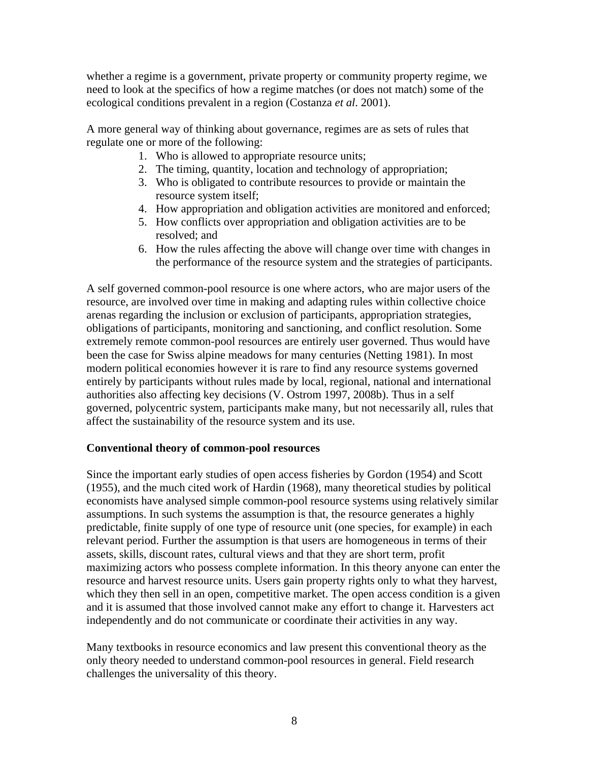whether a regime is a government, private property or community property regime, we need to look at the specifics of how a regime matches (or does not match) some of the ecological conditions prevalent in a region (Costanza *et al*. 2001).

A more general way of thinking about governance, regimes are as sets of rules that regulate one or more of the following:

- 1. Who is allowed to appropriate resource units;
- 2. The timing, quantity, location and technology of appropriation;
- 3. Who is obligated to contribute resources to provide or maintain the resource system itself;
- 4. How appropriation and obligation activities are monitored and enforced;
- 5. How conflicts over appropriation and obligation activities are to be resolved; and
- 6. How the rules affecting the above will change over time with changes in the performance of the resource system and the strategies of participants.

A self governed common-pool resource is one where actors, who are major users of the resource, are involved over time in making and adapting rules within collective choice arenas regarding the inclusion or exclusion of participants, appropriation strategies, obligations of participants, monitoring and sanctioning, and conflict resolution. Some extremely remote common-pool resources are entirely user governed. Thus would have been the case for Swiss alpine meadows for many centuries (Netting 1981). In most modern political economies however it is rare to find any resource systems governed entirely by participants without rules made by local, regional, national and international authorities also affecting key decisions (V. Ostrom 1997, 2008b). Thus in a self governed, polycentric system, participants make many, but not necessarily all, rules that affect the sustainability of the resource system and its use.

#### **Conventional theory of common-pool resources**

Since the important early studies of open access fisheries by Gordon (1954) and Scott (1955), and the much cited work of Hardin (1968), many theoretical studies by political economists have analysed simple common-pool resource systems using relatively similar assumptions. In such systems the assumption is that, the resource generates a highly predictable, finite supply of one type of resource unit (one species, for example) in each relevant period. Further the assumption is that users are homogeneous in terms of their assets, skills, discount rates, cultural views and that they are short term, profit maximizing actors who possess complete information. In this theory anyone can enter the resource and harvest resource units. Users gain property rights only to what they harvest, which they then sell in an open, competitive market. The open access condition is a given and it is assumed that those involved cannot make any effort to change it. Harvesters act independently and do not communicate or coordinate their activities in any way.

Many textbooks in resource economics and law present this conventional theory as the only theory needed to understand common-pool resources in general. Field research challenges the universality of this theory.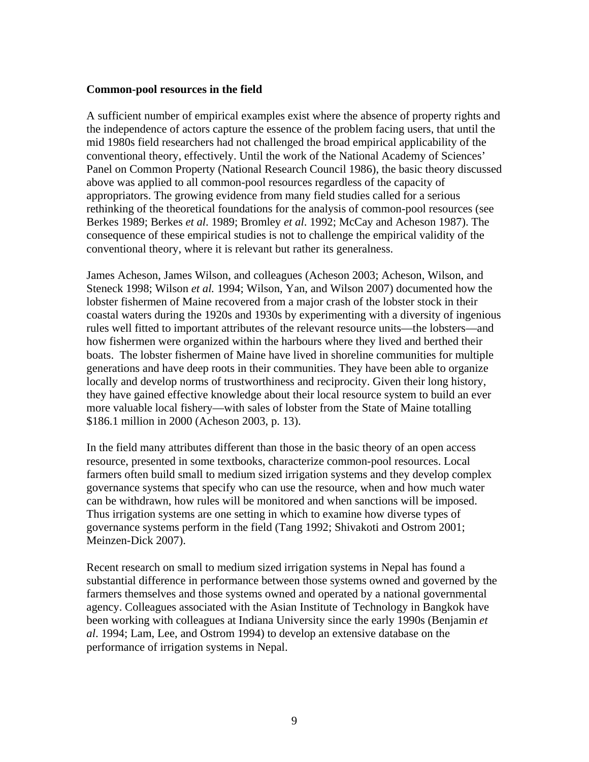#### **Common-pool resources in the field**

A sufficient number of empirical examples exist where the absence of property rights and the independence of actors capture the essence of the problem facing users, that until the mid 1980s field researchers had not challenged the broad empirical applicability of the conventional theory, effectively. Until the work of the National Academy of Sciences' Panel on Common Property (National Research Council 1986), the basic theory discussed above was applied to all common-pool resources regardless of the capacity of appropriators. The growing evidence from many field studies called for a serious rethinking of the theoretical foundations for the analysis of common-pool resources (see Berkes 1989; Berkes *et al*. 1989; Bromley *et al*. 1992; McCay and Acheson 1987). The consequence of these empirical studies is not to challenge the empirical validity of the conventional theory, where it is relevant but rather its generalness.

James Acheson, James Wilson, and colleagues (Acheson 2003; Acheson, Wilson, and Steneck 1998; Wilson *et al.* 1994; Wilson, Yan, and Wilson 2007) documented how the lobster fishermen of Maine recovered from a major crash of the lobster stock in their coastal waters during the 1920s and 1930s by experimenting with a diversity of ingenious rules well fitted to important attributes of the relevant resource units—the lobsters—and how fishermen were organized within the harbours where they lived and berthed their boats. The lobster fishermen of Maine have lived in shoreline communities for multiple generations and have deep roots in their communities. They have been able to organize locally and develop norms of trustworthiness and reciprocity. Given their long history, they have gained effective knowledge about their local resource system to build an ever more valuable local fishery—with sales of lobster from the State of Maine totalling \$186.1 million in 2000 (Acheson 2003, p. 13).

In the field many attributes different than those in the basic theory of an open access resource, presented in some textbooks, characterize common-pool resources. Local farmers often build small to medium sized irrigation systems and they develop complex governance systems that specify who can use the resource, when and how much water can be withdrawn, how rules will be monitored and when sanctions will be imposed. Thus irrigation systems are one setting in which to examine how diverse types of governance systems perform in the field (Tang 1992; Shivakoti and Ostrom 2001; Meinzen-Dick 2007).

Recent research on small to medium sized irrigation systems in Nepal has found a substantial difference in performance between those systems owned and governed by the farmers themselves and those systems owned and operated by a national governmental agency. Colleagues associated with the Asian Institute of Technology in Bangkok have been working with colleagues at Indiana University since the early 1990s (Benjamin *et al*. 1994; Lam, Lee, and Ostrom 1994) to develop an extensive database on the performance of irrigation systems in Nepal.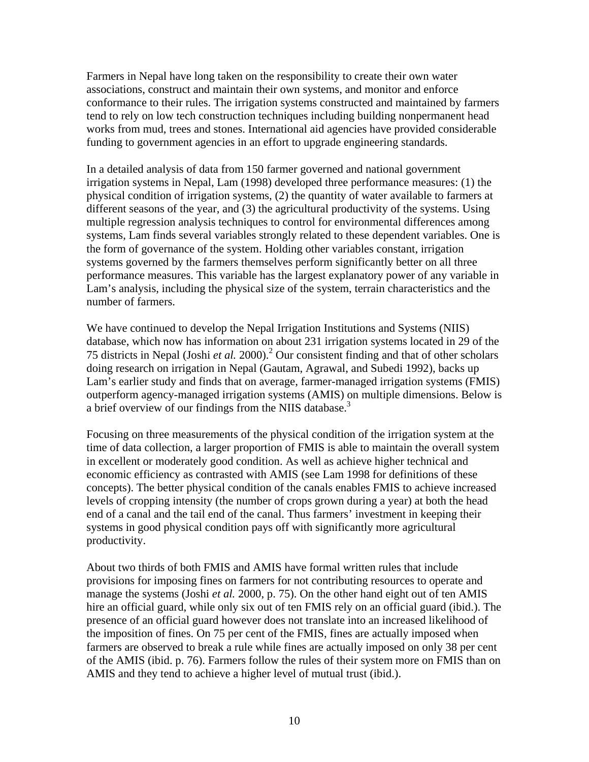Farmers in Nepal have long taken on the responsibility to create their own water associations, construct and maintain their own systems, and monitor and enforce conformance to their rules. The irrigation systems constructed and maintained by farmers tend to rely on low tech construction techniques including building nonpermanent head works from mud, trees and stones. International aid agencies have provided considerable funding to government agencies in an effort to upgrade engineering standards.

In a detailed analysis of data from 150 farmer governed and national government irrigation systems in Nepal, Lam (1998) developed three performance measures: (1) the physical condition of irrigation systems, (2) the quantity of water available to farmers at different seasons of the year, and (3) the agricultural productivity of the systems. Using multiple regression analysis techniques to control for environmental differences among systems, Lam finds several variables strongly related to these dependent variables. One is the form of governance of the system. Holding other variables constant, irrigation systems governed by the farmers themselves perform significantly better on all three performance measures. This variable has the largest explanatory power of any variable in Lam's analysis, including the physical size of the system, terrain characteristics and the number of farmers.

We have continued to develop the Nepal Irrigation Institutions and Systems (NIIS) database, which now has information on about 231 irrigation systems located in 29 of the 75 districts in Nepal (Joshi *et al.* 2000).2 Our consistent finding and that of other scholars doing research on irrigation in Nepal (Gautam, Agrawal, and Subedi 1992), backs up Lam's earlier study and finds that on average, farmer-managed irrigation systems (FMIS) outperform agency-managed irrigation systems (AMIS) on multiple dimensions. Below is a brief overview of our findings from the NIIS database.<sup>3</sup>

Focusing on three measurements of the physical condition of the irrigation system at the time of data collection, a larger proportion of FMIS is able to maintain the overall system in excellent or moderately good condition. As well as achieve higher technical and economic efficiency as contrasted with AMIS (see Lam 1998 for definitions of these concepts). The better physical condition of the canals enables FMIS to achieve increased levels of cropping intensity (the number of crops grown during a year) at both the head end of a canal and the tail end of the canal. Thus farmers' investment in keeping their systems in good physical condition pays off with significantly more agricultural productivity.

About two thirds of both FMIS and AMIS have formal written rules that include provisions for imposing fines on farmers for not contributing resources to operate and manage the systems (Joshi *et al.* 2000, p. 75). On the other hand eight out of ten AMIS hire an official guard, while only six out of ten FMIS rely on an official guard (ibid.). The presence of an official guard however does not translate into an increased likelihood of the imposition of fines. On 75 per cent of the FMIS, fines are actually imposed when farmers are observed to break a rule while fines are actually imposed on only 38 per cent of the AMIS (ibid. p. 76). Farmers follow the rules of their system more on FMIS than on AMIS and they tend to achieve a higher level of mutual trust (ibid.).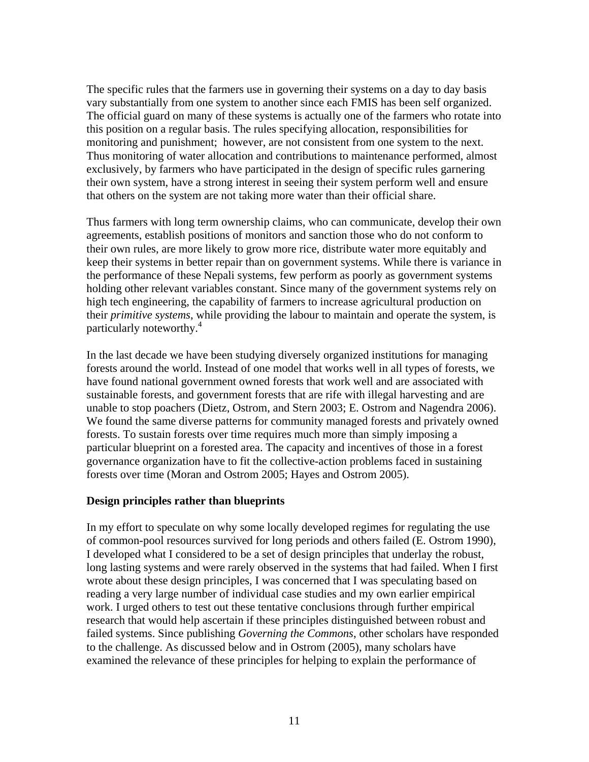The specific rules that the farmers use in governing their systems on a day to day basis vary substantially from one system to another since each FMIS has been self organized. The official guard on many of these systems is actually one of the farmers who rotate into this position on a regular basis. The rules specifying allocation, responsibilities for monitoring and punishment; however, are not consistent from one system to the next. Thus monitoring of water allocation and contributions to maintenance performed, almost exclusively, by farmers who have participated in the design of specific rules garnering their own system, have a strong interest in seeing their system perform well and ensure that others on the system are not taking more water than their official share.

Thus farmers with long term ownership claims, who can communicate, develop their own agreements, establish positions of monitors and sanction those who do not conform to their own rules, are more likely to grow more rice, distribute water more equitably and keep their systems in better repair than on government systems. While there is variance in the performance of these Nepali systems, few perform as poorly as government systems holding other relevant variables constant. Since many of the government systems rely on high tech engineering, the capability of farmers to increase agricultural production on their *primitive systems*, while providing the labour to maintain and operate the system, is particularly noteworthy.<sup>4</sup>

In the last decade we have been studying diversely organized institutions for managing forests around the world. Instead of one model that works well in all types of forests, we have found national government owned forests that work well and are associated with sustainable forests, and government forests that are rife with illegal harvesting and are unable to stop poachers (Dietz, Ostrom, and Stern 2003; E. Ostrom and Nagendra 2006). We found the same diverse patterns for community managed forests and privately owned forests. To sustain forests over time requires much more than simply imposing a particular blueprint on a forested area. The capacity and incentives of those in a forest governance organization have to fit the collective-action problems faced in sustaining forests over time (Moran and Ostrom 2005; Hayes and Ostrom 2005).

#### **Design principles rather than blueprints**

In my effort to speculate on why some locally developed regimes for regulating the use of common-pool resources survived for long periods and others failed (E. Ostrom 1990), I developed what I considered to be a set of design principles that underlay the robust, long lasting systems and were rarely observed in the systems that had failed. When I first wrote about these design principles, I was concerned that I was speculating based on reading a very large number of individual case studies and my own earlier empirical work. I urged others to test out these tentative conclusions through further empirical research that would help ascertain if these principles distinguished between robust and failed systems. Since publishing *Governing the Commons*, other scholars have responded to the challenge. As discussed below and in Ostrom (2005), many scholars have examined the relevance of these principles for helping to explain the performance of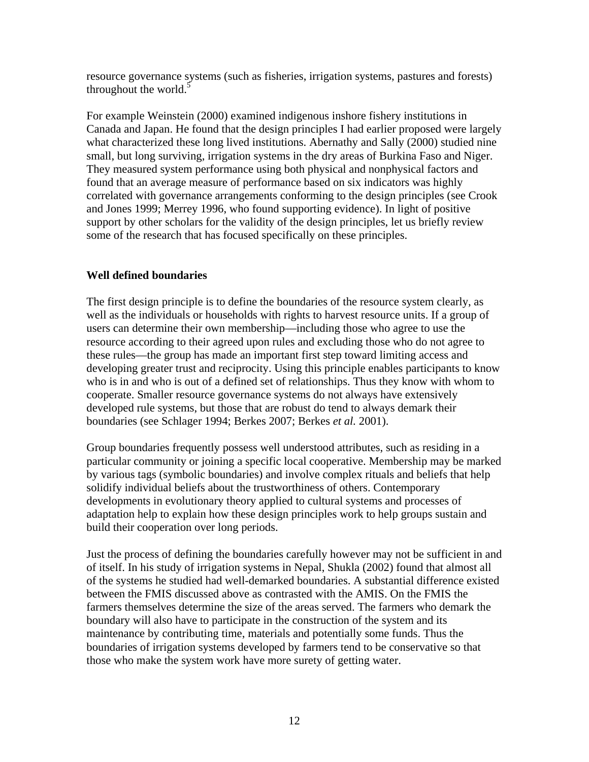resource governance systems (such as fisheries, irrigation systems, pastures and forests) throughout the world. $\frac{5}{5}$ 

For example Weinstein (2000) examined indigenous inshore fishery institutions in Canada and Japan. He found that the design principles I had earlier proposed were largely what characterized these long lived institutions. Abernathy and Sally (2000) studied nine small, but long surviving, irrigation systems in the dry areas of Burkina Faso and Niger. They measured system performance using both physical and nonphysical factors and found that an average measure of performance based on six indicators was highly correlated with governance arrangements conforming to the design principles (see Crook and Jones 1999; Merrey 1996, who found supporting evidence). In light of positive support by other scholars for the validity of the design principles, let us briefly review some of the research that has focused specifically on these principles.

# **Well defined boundaries**

The first design principle is to define the boundaries of the resource system clearly, as well as the individuals or households with rights to harvest resource units. If a group of users can determine their own membership—including those who agree to use the resource according to their agreed upon rules and excluding those who do not agree to these rules—the group has made an important first step toward limiting access and developing greater trust and reciprocity. Using this principle enables participants to know who is in and who is out of a defined set of relationships. Thus they know with whom to cooperate. Smaller resource governance systems do not always have extensively developed rule systems, but those that are robust do tend to always demark their boundaries (see Schlager 1994; Berkes 2007; Berkes *et al.* 2001).

Group boundaries frequently possess well understood attributes, such as residing in a particular community or joining a specific local cooperative. Membership may be marked by various tags (symbolic boundaries) and involve complex rituals and beliefs that help solidify individual beliefs about the trustworthiness of others. Contemporary developments in evolutionary theory applied to cultural systems and processes of adaptation help to explain how these design principles work to help groups sustain and build their cooperation over long periods.

Just the process of defining the boundaries carefully however may not be sufficient in and of itself. In his study of irrigation systems in Nepal, Shukla (2002) found that almost all of the systems he studied had well-demarked boundaries. A substantial difference existed between the FMIS discussed above as contrasted with the AMIS. On the FMIS the farmers themselves determine the size of the areas served. The farmers who demark the boundary will also have to participate in the construction of the system and its maintenance by contributing time, materials and potentially some funds. Thus the boundaries of irrigation systems developed by farmers tend to be conservative so that those who make the system work have more surety of getting water.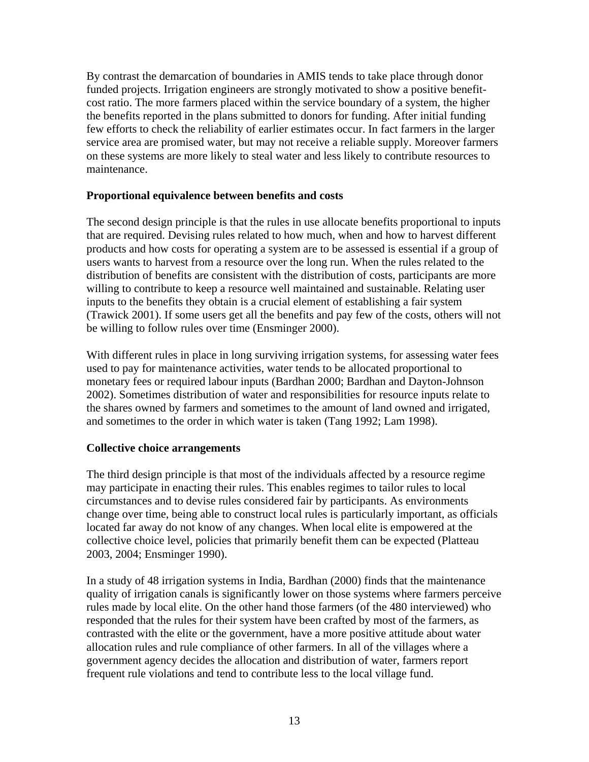By contrast the demarcation of boundaries in AMIS tends to take place through donor funded projects. Irrigation engineers are strongly motivated to show a positive benefitcost ratio. The more farmers placed within the service boundary of a system, the higher the benefits reported in the plans submitted to donors for funding. After initial funding few efforts to check the reliability of earlier estimates occur. In fact farmers in the larger service area are promised water, but may not receive a reliable supply. Moreover farmers on these systems are more likely to steal water and less likely to contribute resources to maintenance.

#### **Proportional equivalence between benefits and costs**

The second design principle is that the rules in use allocate benefits proportional to inputs that are required. Devising rules related to how much, when and how to harvest different products and how costs for operating a system are to be assessed is essential if a group of users wants to harvest from a resource over the long run. When the rules related to the distribution of benefits are consistent with the distribution of costs, participants are more willing to contribute to keep a resource well maintained and sustainable. Relating user inputs to the benefits they obtain is a crucial element of establishing a fair system (Trawick 2001). If some users get all the benefits and pay few of the costs, others will not be willing to follow rules over time (Ensminger 2000).

With different rules in place in long surviving irrigation systems, for assessing water fees used to pay for maintenance activities, water tends to be allocated proportional to monetary fees or required labour inputs (Bardhan 2000; Bardhan and Dayton-Johnson 2002). Sometimes distribution of water and responsibilities for resource inputs relate to the shares owned by farmers and sometimes to the amount of land owned and irrigated, and sometimes to the order in which water is taken (Tang 1992; Lam 1998).

# **Collective choice arrangements**

The third design principle is that most of the individuals affected by a resource regime may participate in enacting their rules. This enables regimes to tailor rules to local circumstances and to devise rules considered fair by participants. As environments change over time, being able to construct local rules is particularly important, as officials located far away do not know of any changes. When local elite is empowered at the collective choice level, policies that primarily benefit them can be expected (Platteau 2003, 2004; Ensminger 1990).

In a study of 48 irrigation systems in India, Bardhan (2000) finds that the maintenance quality of irrigation canals is significantly lower on those systems where farmers perceive rules made by local elite. On the other hand those farmers (of the 480 interviewed) who responded that the rules for their system have been crafted by most of the farmers, as contrasted with the elite or the government, have a more positive attitude about water allocation rules and rule compliance of other farmers. In all of the villages where a government agency decides the allocation and distribution of water, farmers report frequent rule violations and tend to contribute less to the local village fund.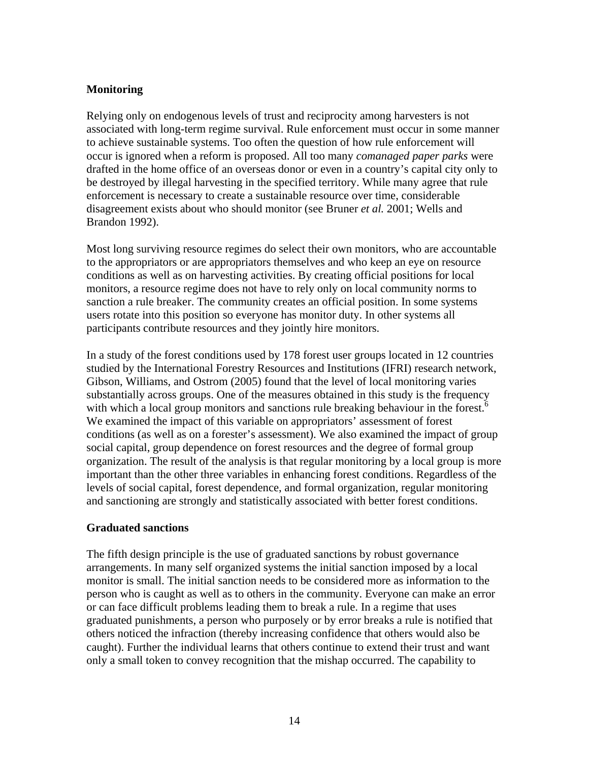# **Monitoring**

Relying only on endogenous levels of trust and reciprocity among harvesters is not associated with long-term regime survival. Rule enforcement must occur in some manner to achieve sustainable systems. Too often the question of how rule enforcement will occur is ignored when a reform is proposed. All too many *comanaged paper parks* were drafted in the home office of an overseas donor or even in a country's capital city only to be destroyed by illegal harvesting in the specified territory. While many agree that rule enforcement is necessary to create a sustainable resource over time, considerable disagreement exists about who should monitor (see Bruner *et al.* 2001; Wells and Brandon 1992).

Most long surviving resource regimes do select their own monitors, who are accountable to the appropriators or are appropriators themselves and who keep an eye on resource conditions as well as on harvesting activities. By creating official positions for local monitors, a resource regime does not have to rely only on local community norms to sanction a rule breaker. The community creates an official position. In some systems users rotate into this position so everyone has monitor duty. In other systems all participants contribute resources and they jointly hire monitors.

In a study of the forest conditions used by 178 forest user groups located in 12 countries studied by the International Forestry Resources and Institutions (IFRI) research network, Gibson, Williams, and Ostrom (2005) found that the level of local monitoring varies substantially across groups. One of the measures obtained in this study is the frequency with which a local group monitors and sanctions rule breaking behaviour in the forest.<sup>6</sup> We examined the impact of this variable on appropriators' assessment of forest conditions (as well as on a forester's assessment). We also examined the impact of group social capital, group dependence on forest resources and the degree of formal group organization. The result of the analysis is that regular monitoring by a local group is more important than the other three variables in enhancing forest conditions. Regardless of the levels of social capital, forest dependence, and formal organization, regular monitoring and sanctioning are strongly and statistically associated with better forest conditions.

# **Graduated sanctions**

The fifth design principle is the use of graduated sanctions by robust governance arrangements. In many self organized systems the initial sanction imposed by a local monitor is small. The initial sanction needs to be considered more as information to the person who is caught as well as to others in the community. Everyone can make an error or can face difficult problems leading them to break a rule. In a regime that uses graduated punishments, a person who purposely or by error breaks a rule is notified that others noticed the infraction (thereby increasing confidence that others would also be caught). Further the individual learns that others continue to extend their trust and want only a small token to convey recognition that the mishap occurred. The capability to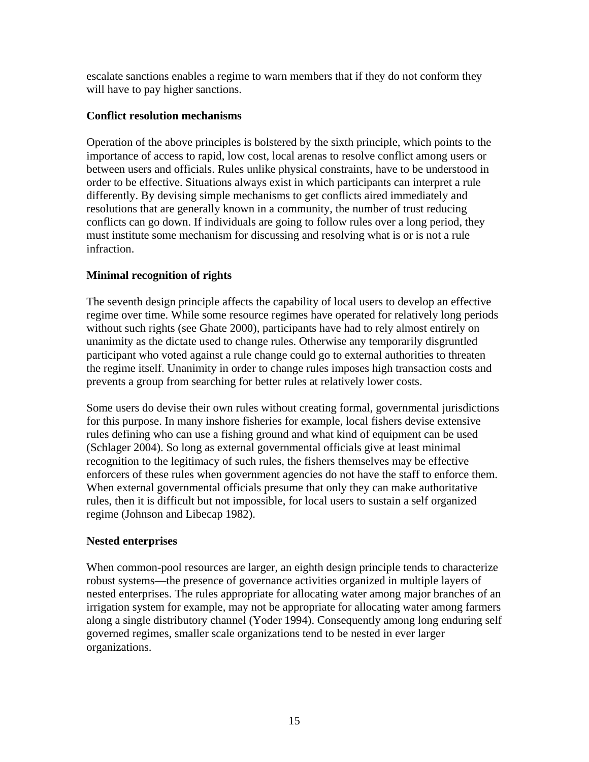escalate sanctions enables a regime to warn members that if they do not conform they will have to pay higher sanctions.

# **Conflict resolution mechanisms**

Operation of the above principles is bolstered by the sixth principle, which points to the importance of access to rapid, low cost, local arenas to resolve conflict among users or between users and officials. Rules unlike physical constraints, have to be understood in order to be effective. Situations always exist in which participants can interpret a rule differently. By devising simple mechanisms to get conflicts aired immediately and resolutions that are generally known in a community, the number of trust reducing conflicts can go down. If individuals are going to follow rules over a long period, they must institute some mechanism for discussing and resolving what is or is not a rule infraction.

# **Minimal recognition of rights**

The seventh design principle affects the capability of local users to develop an effective regime over time. While some resource regimes have operated for relatively long periods without such rights (see Ghate 2000), participants have had to rely almost entirely on unanimity as the dictate used to change rules. Otherwise any temporarily disgruntled participant who voted against a rule change could go to external authorities to threaten the regime itself. Unanimity in order to change rules imposes high transaction costs and prevents a group from searching for better rules at relatively lower costs.

Some users do devise their own rules without creating formal, governmental jurisdictions for this purpose. In many inshore fisheries for example, local fishers devise extensive rules defining who can use a fishing ground and what kind of equipment can be used (Schlager 2004). So long as external governmental officials give at least minimal recognition to the legitimacy of such rules, the fishers themselves may be effective enforcers of these rules when government agencies do not have the staff to enforce them. When external governmental officials presume that only they can make authoritative rules, then it is difficult but not impossible, for local users to sustain a self organized regime (Johnson and Libecap 1982).

# **Nested enterprises**

When common-pool resources are larger, an eighth design principle tends to characterize robust systems—the presence of governance activities organized in multiple layers of nested enterprises. The rules appropriate for allocating water among major branches of an irrigation system for example, may not be appropriate for allocating water among farmers along a single distributory channel (Yoder 1994). Consequently among long enduring self governed regimes, smaller scale organizations tend to be nested in ever larger organizations.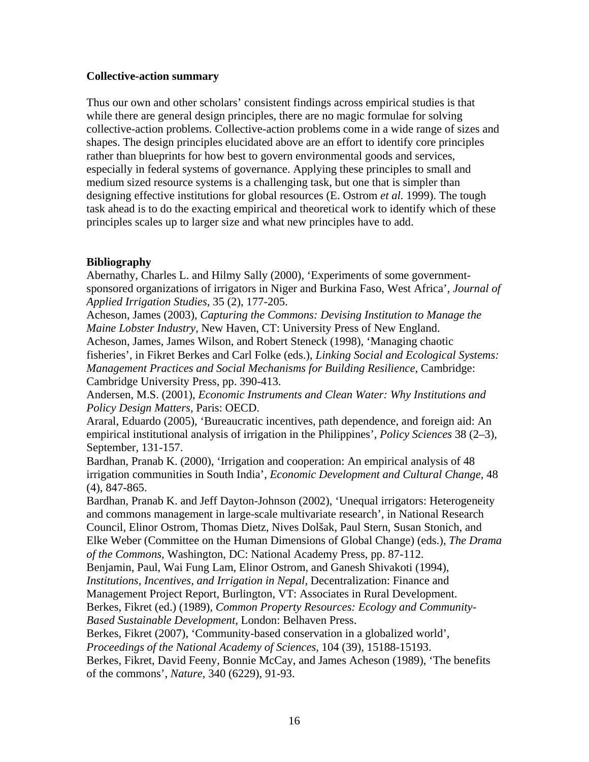#### **Collective-action summary**

Thus our own and other scholars' consistent findings across empirical studies is that while there are general design principles, there are no magic formulae for solving collective-action problems. Collective-action problems come in a wide range of sizes and shapes. The design principles elucidated above are an effort to identify core principles rather than blueprints for how best to govern environmental goods and services, especially in federal systems of governance. Applying these principles to small and medium sized resource systems is a challenging task, but one that is simpler than designing effective institutions for global resources (E. Ostrom *et al.* 1999). The tough task ahead is to do the exacting empirical and theoretical work to identify which of these principles scales up to larger size and what new principles have to add.

# **Bibliography**

Abernathy, Charles L. and Hilmy Sally (2000), 'Experiments of some governmentsponsored organizations of irrigators in Niger and Burkina Faso, West Africa', *Journal of Applied Irrigation Studies,* 35 (2), 177-205.

Acheson, James (2003), *Capturing the Commons: Devising Institution to Manage the Maine Lobster Industry,* New Haven, CT: University Press of New England.

Acheson, James, James Wilson, and Robert Steneck (1998), 'Managing chaotic fisheries', in Fikret Berkes and Carl Folke (eds.), *Linking Social and Ecological Systems: Management Practices and Social Mechanisms for Building Resilience,* Cambridge: Cambridge University Press, pp. 390-413.

Andersen, M.S. (2001), *Economic Instruments and Clean Water: Why Institutions and Policy Design Matters,* Paris: OECD.

Araral, Eduardo (2005), 'Bureaucratic incentives, path dependence, and foreign aid: An empirical institutional analysis of irrigation in the Philippines', *Policy Sciences* 38 (2–3), September, 131-157.

Bardhan, Pranab K. (2000), 'Irrigation and cooperation: An empirical analysis of 48 irrigation communities in South India', *Economic Development and Cultural Change,* 48 (4), 847-865.

Bardhan, Pranab K. and Jeff Dayton-Johnson (2002), 'Unequal irrigators: Heterogeneity and commons management in large-scale multivariate research', in National Research Council, Elinor Ostrom, Thomas Dietz, Nives Dolšak, Paul Stern, Susan Stonich, and Elke Weber (Committee on the Human Dimensions of Global Change) (eds.), *The Drama of the Commons,* Washington, DC: National Academy Press, pp. 87-112.

Benjamin, Paul, Wai Fung Lam, Elinor Ostrom, and Ganesh Shivakoti (1994),

*Institutions, Incentives, and Irrigation in Nepal,* Decentralization: Finance and

Management Project Report, Burlington, VT: Associates in Rural Development.

Berkes, Fikret (ed.) (1989), *Common Property Resources: Ecology and Community-Based Sustainable Development,* London: Belhaven Press.

Berkes, Fikret (2007), 'Community-based conservation in a globalized world',

*Proceedings of the National Academy of Sciences,* 104 (39), 15188-15193.

Berkes, Fikret, David Feeny, Bonnie McCay, and James Acheson (1989), 'The benefits of the commons', *Nature,* 340 (6229), 91-93.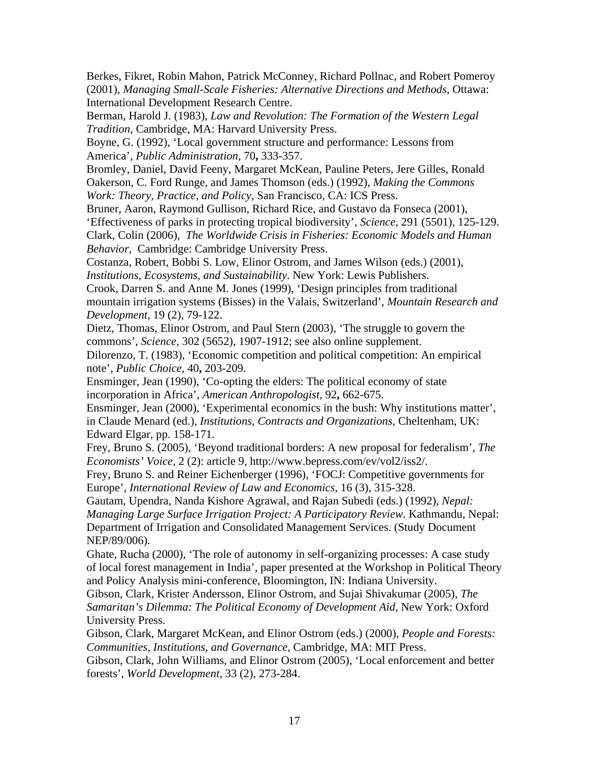Berkes, Fikret, Robin Mahon, Patrick McConney, Richard Pollnac, and Robert Pomeroy (2001), *Managing Small-Scale Fisheries: Alternative Directions and Methods,* Ottawa: International Development Research Centre.

Berman, Harold J. (1983), *Law and Revolution: The Formation of the Western Legal Tradition,* Cambridge, MA: Harvard University Press.

Boyne, G. (1992), 'Local government structure and performance: Lessons from America', *Public Administration,* 70**,** 333-357.

Bromley, Daniel, David Feeny, Margaret McKean, Pauline Peters, Jere Gilles, Ronald Oakerson, C. Ford Runge, and James Thomson (eds.) (1992), *Making the Commons Work: Theory, Practice, and Policy,* San Francisco, CA: ICS Press.

Bruner, Aaron, Raymond Gullison, Richard Rice, and Gustavo da Fonseca (2001), 'Effectiveness of parks in protecting tropical biodiversity', *Science,* 291 (5501), 125-129. Clark, Colin (2006), *The Worldwide Crisis in Fisheries: Economic Models and Human* 

*Behavior,* Cambridge: Cambridge University Press.

Costanza, Robert, Bobbi S. Low, Elinor Ostrom, and James Wilson (eds.) (2001),

*Institutions, Ecosystems, and Sustainability*. New York: Lewis Publishers.

Crook, Darren S. and Anne M. Jones (1999), 'Design principles from traditional mountain irrigation systems (Bisses) in the Valais, Switzerland', *Mountain Research and Development,* 19 (2), 79-122.

Dietz, Thomas, Elinor Ostrom, and Paul Stern (2003), 'The struggle to govern the commons', *Science,* 302 (5652), 1907-1912; see also online supplement.

Dilorenzo, T. (1983), 'Economic competition and political competition: An empirical note', *Public Choice,* 40**,** 203-209.

Ensminger, Jean (1990), 'Co-opting the elders: The political economy of state incorporation in Africa', *American Anthropologist,* 92**,** 662-675.

Ensminger, Jean (2000), 'Experimental economics in the bush: Why institutions matter', in Claude Menard (ed.), *Institutions, Contracts and Organizations,* Cheltenham, UK: Edward Elgar, pp. 158-171.

Frey, Bruno S. (2005), 'Beyond traditional borders: A new proposal for federalism', *The Economists' Voice,* 2 (2): article 9, http://www.bepress.com/ev/vol2/iss2/.

Frey, Bruno S. and Reiner Eichenberger (1996), 'FOCJ: Competitive governments for Europe', *International Review of Law and Economics,* 16 (3), 315-328.

Gautam, Upendra, Nanda Kishore Agrawal, and Rajan Subedi (eds.) (1992), *Nepal: Managing Large Surface Irrigation Project: A Participatory Review.* Kathmandu, Nepal: Department of Irrigation and Consolidated Management Services. (Study Document NEP/89/006).

Ghate, Rucha (2000), 'The role of autonomy in self-organizing processes: A case study of local forest management in India', paper presented at the Workshop in Political Theory and Policy Analysis mini-conference, Bloomington, IN: Indiana University.

Gibson, Clark, Krister Andersson, Elinor Ostrom, and Sujai Shivakumar (2005), *The Samaritan's Dilemma: The Political Economy of Development Aid,* New York: Oxford University Press.

Gibson, Clark, Margaret McKean, and Elinor Ostrom (eds.) (2000), *People and Forests: Communities, Institutions, and Governance,* Cambridge, MA: MIT Press.

Gibson, Clark, John Williams, and Elinor Ostrom (2005), 'Local enforcement and better forests', *World Development,* 33 (2), 273-284.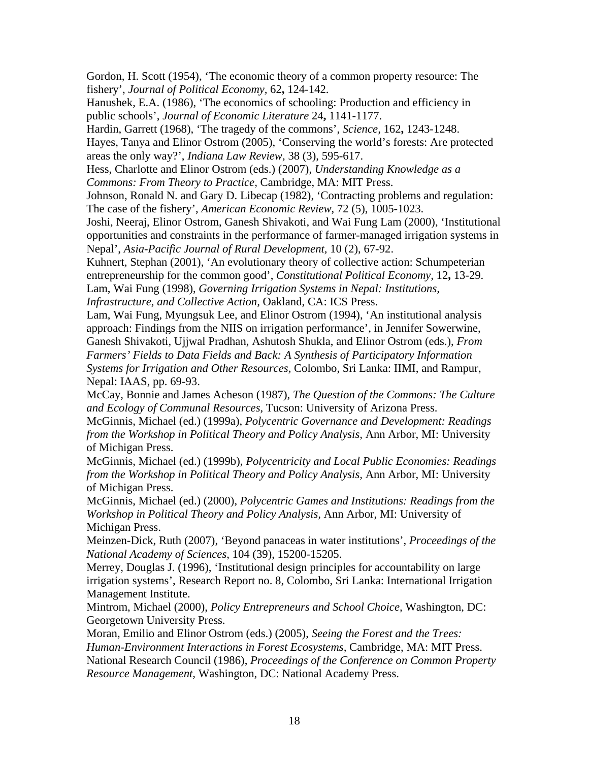Gordon, H. Scott (1954), 'The economic theory of a common property resource: The fishery', *Journal of Political Economy,* 62**,** 124-142.

Hanushek, E.A. (1986), 'The economics of schooling: Production and efficiency in public schools', *Journal of Economic Literature* 24**,** 1141-1177.

Hardin, Garrett (1968), 'The tragedy of the commons', *Science,* 162**,** 1243-1248.

Hayes, Tanya and Elinor Ostrom (2005), 'Conserving the world's forests: Are protected areas the only way?', *Indiana Law Review,* 38 (3), 595-617.

Hess, Charlotte and Elinor Ostrom (eds.) (2007), *Understanding Knowledge as a Commons: From Theory to Practice,* Cambridge, MA: MIT Press.

Johnson, Ronald N. and Gary D. Libecap (1982), 'Contracting problems and regulation: The case of the fishery', *American Economic Review*, 72 (5), 1005-1023.

Joshi, Neeraj, Elinor Ostrom, Ganesh Shivakoti, and Wai Fung Lam (2000), 'Institutional opportunities and constraints in the performance of farmer-managed irrigation systems in Nepal', *Asia-Pacific Journal of Rural Development,* 10 (2), 67-92.

Kuhnert, Stephan (2001), 'An evolutionary theory of collective action: Schumpeterian entrepreneurship for the common good', *Constitutional Political Economy,* 12**,** 13-29. Lam, Wai Fung (1998), *Governing Irrigation Systems in Nepal: Institutions,* 

*Infrastructure, and Collective Action,* Oakland, CA: ICS Press.

Lam, Wai Fung, Myungsuk Lee, and Elinor Ostrom (1994), 'An institutional analysis approach: Findings from the NIIS on irrigation performance', in Jennifer Sowerwine, Ganesh Shivakoti, Ujjwal Pradhan, Ashutosh Shukla, and Elinor Ostrom (eds.), *From Farmers' Fields to Data Fields and Back: A Synthesis of Participatory Information Systems for Irrigation and Other Resources,* Colombo, Sri Lanka: IIMI, and Rampur, Nepal: IAAS, pp. 69-93.

McCay, Bonnie and James Acheson (1987), *The Question of the Commons: The Culture and Ecology of Communal Resources,* Tucson: University of Arizona Press.

McGinnis, Michael (ed.) (1999a), *Polycentric Governance and Development: Readings from the Workshop in Political Theory and Policy Analysis,* Ann Arbor, MI: University of Michigan Press.

McGinnis, Michael (ed.) (1999b), *Polycentricity and Local Public Economies: Readings from the Workshop in Political Theory and Policy Analysis,* Ann Arbor, MI: University of Michigan Press.

McGinnis, Michael (ed.) (2000), *Polycentric Games and Institutions: Readings from the Workshop in Political Theory and Policy Analysis,* Ann Arbor, MI: University of Michigan Press.

Meinzen-Dick, Ruth (2007), 'Beyond panaceas in water institutions', *Proceedings of the National Academy of Sciences*, 104 (39), 15200-15205.

Merrey, Douglas J. (1996), 'Institutional design principles for accountability on large irrigation systems', Research Report no. 8, Colombo, Sri Lanka: International Irrigation Management Institute.

Mintrom, Michael (2000), *Policy Entrepreneurs and School Choice,* Washington, DC: Georgetown University Press.

Moran, Emilio and Elinor Ostrom (eds.) (2005), *Seeing the Forest and the Trees: Human-Environment Interactions in Forest Ecosystems,* Cambridge, MA: MIT Press. National Research Council (1986), *Proceedings of the Conference on Common Property Resource Management,* Washington, DC: National Academy Press.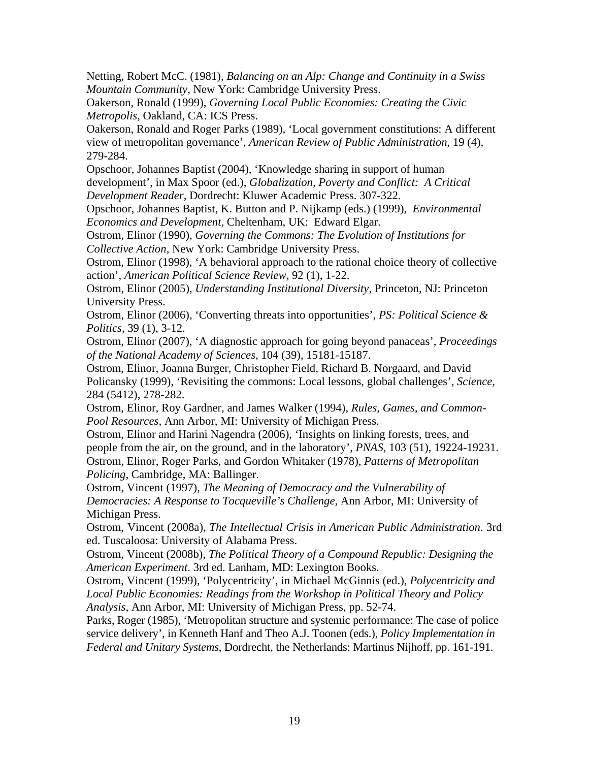Netting, Robert McC. (1981), *Balancing on an Alp: Change and Continuity in a Swiss Mountain Community,* New York: Cambridge University Press.

Oakerson, Ronald (1999), *Governing Local Public Economies: Creating the Civic Metropolis,* Oakland, CA: ICS Press.

Oakerson, Ronald and Roger Parks (1989), 'Local government constitutions: A different view of metropolitan governance', *American Review of Public Administration,* 19 (4), 279-284.

Opschoor, Johannes Baptist (2004), 'Knowledge sharing in support of human development', in Max Spoor (ed.), *Globalization, Poverty and Conflict: A Critical Development Reader,* Dordrecht: Kluwer Academic Press. 307-322.

Opschoor, Johannes Baptist, K. Button and P. Nijkamp (eds.) (1999), *Environmental Economics and Development,* Cheltenham, UK: Edward Elgar.

Ostrom, Elinor (1990), *Governing the Commons: The Evolution of Institutions for Collective Action,* New York: Cambridge University Press.

Ostrom, Elinor (1998), 'A behavioral approach to the rational choice theory of collective action', *American Political Science Review,* 92 (1), 1-22.

Ostrom, Elinor (2005), *Understanding Institutional Diversity*, Princeton, NJ: Princeton University Press.

Ostrom, Elinor (2006), 'Converting threats into opportunities', *PS: Political Science & Politics,* 39 (1), 3-12.

Ostrom, Elinor (2007), 'A diagnostic approach for going beyond panaceas', *Proceedings of the National Academy of Sciences,* 104 (39), 15181-15187.

Ostrom, Elinor, Joanna Burger, Christopher Field, Richard B. Norgaard, and David Policansky (1999), 'Revisiting the commons: Local lessons, global challenges', *Science,* 284 (5412), 278-282.

Ostrom, Elinor, Roy Gardner, and James Walker (1994), *Rules, Games, and Common-Pool Resources,* Ann Arbor, MI: University of Michigan Press.

Ostrom, Elinor and Harini Nagendra (2006), 'Insights on linking forests, trees, and people from the air, on the ground, and in the laboratory', *PNAS,* 103 (51), 19224-19231. Ostrom, Elinor, Roger Parks, and Gordon Whitaker (1978), *Patterns of Metropolitan Policing,* Cambridge, MA: Ballinger.

Ostrom, Vincent (1997), *The Meaning of Democracy and the Vulnerability of Democracies: A Response to Tocqueville's Challenge,* Ann Arbor, MI: University of Michigan Press.

Ostrom, Vincent (2008a), *The Intellectual Crisis in American Public Administration*. 3rd ed. Tuscaloosa: University of Alabama Press.

Ostrom, Vincent (2008b), *The Political Theory of a Compound Republic: Designing the American Experiment*. 3rd ed. Lanham, MD: Lexington Books.

Ostrom, Vincent (1999), 'Polycentricity', in Michael McGinnis (ed.), *Polycentricity and Local Public Economies: Readings from the Workshop in Political Theory and Policy Analysis*, Ann Arbor, MI: University of Michigan Press, pp. 52-74.

Parks, Roger (1985), 'Metropolitan structure and systemic performance: The case of police service delivery', in Kenneth Hanf and Theo A.J. Toonen (eds.), *Policy Implementation in Federal and Unitary Systems*, Dordrecht, the Netherlands: Martinus Nijhoff, pp. 161-191.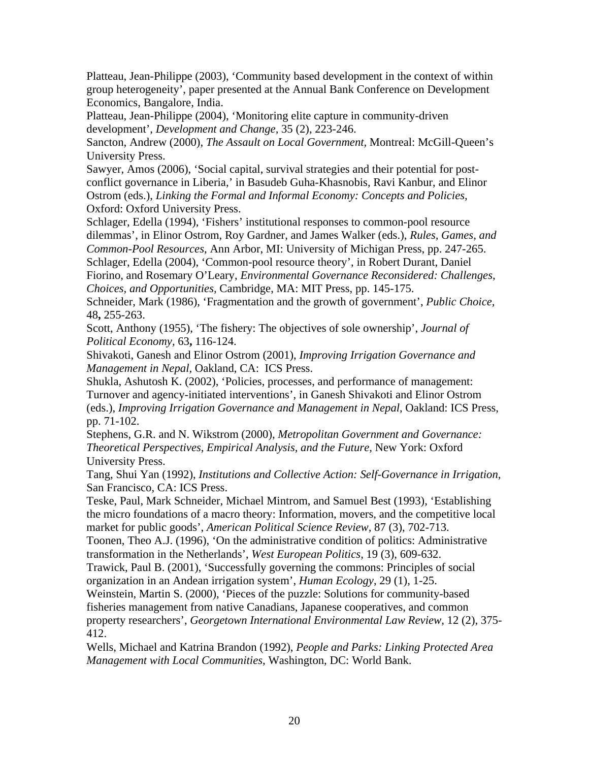Platteau, Jean-Philippe (2003), 'Community based development in the context of within group heterogeneity', paper presented at the Annual Bank Conference on Development Economics, Bangalore, India.

Platteau, Jean-Philippe (2004), 'Monitoring elite capture in community-driven development', *Development and Change,* 35 (2), 223-246.

Sancton, Andrew (2000), *The Assault on Local Government,* Montreal: McGill-Queen's University Press.

Sawyer, Amos (2006), 'Social capital, survival strategies and their potential for postconflict governance in Liberia,' in Basudeb Guha-Khasnobis, Ravi Kanbur, and Elinor Ostrom (eds.), *Linking the Formal and Informal Economy: Concepts and Policies,* Oxford: Oxford University Press.

Schlager, Edella (1994), 'Fishers' institutional responses to common-pool resource dilemmas', in Elinor Ostrom, Roy Gardner, and James Walker (eds.), *Rules, Games, and Common-Pool Resources,* Ann Arbor, MI: University of Michigan Press, pp. 247-265.

Schlager, Edella (2004), 'Common-pool resource theory', in Robert Durant, Daniel Fiorino, and Rosemary O'Leary, *Environmental Governance Reconsidered: Challenges, Choices, and Opportunities,* Cambridge, MA: MIT Press, pp. 145-175.

Schneider, Mark (1986), 'Fragmentation and the growth of government', *Public Choice,* 48**,** 255-263.

Scott, Anthony (1955), 'The fishery: The objectives of sole ownership', *Journal of Political Economy,* 63**,** 116-124.

Shivakoti, Ganesh and Elinor Ostrom (2001), *Improving Irrigation Governance and Management in Nepal,* Oakland, CA: ICS Press.

Shukla, Ashutosh K. (2002), 'Policies, processes, and performance of management: Turnover and agency-initiated interventions', in Ganesh Shivakoti and Elinor Ostrom (eds.), *Improving Irrigation Governance and Management in Nepal*, Oakland: ICS Press, pp. 71-102.

Stephens, G.R. and N. Wikstrom (2000), *Metropolitan Government and Governance: Theoretical Perspectives, Empirical Analysis, and the Future,* New York: Oxford University Press.

Tang, Shui Yan (1992), *Institutions and Collective Action: Self-Governance in Irrigation,* San Francisco, CA: ICS Press.

Teske, Paul, Mark Schneider, Michael Mintrom, and Samuel Best (1993), 'Establishing the micro foundations of a macro theory: Information, movers, and the competitive local market for public goods', *American Political Science Review,* 87 (3), 702-713.

Toonen, Theo A.J. (1996), 'On the administrative condition of politics: Administrative transformation in the Netherlands', *West European Politics,* 19 (3), 609-632.

Trawick, Paul B. (2001), 'Successfully governing the commons: Principles of social organization in an Andean irrigation system', *Human Ecology*, 29 (1), 1-25.

Weinstein, Martin S. (2000), 'Pieces of the puzzle: Solutions for community-based fisheries management from native Canadians, Japanese cooperatives, and common property researchers', *Georgetown International Environmental Law Review,* 12 (2), 375- 412.

Wells, Michael and Katrina Brandon (1992), *People and Parks: Linking Protected Area Management with Local Communities*, Washington, DC: World Bank.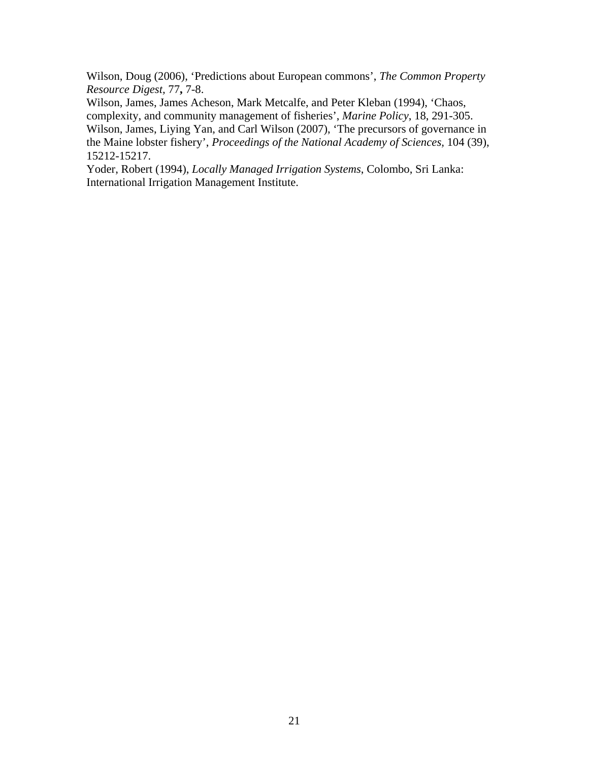Wilson, Doug (2006), 'Predictions about European commons', *The Common Property Resource Digest,* 77**,** 7-8.

Wilson, James, James Acheson, Mark Metcalfe, and Peter Kleban (1994), 'Chaos, complexity, and community management of fisheries', *Marine Policy*, 18, 291-305. Wilson, James, Liying Yan, and Carl Wilson (2007), 'The precursors of governance in the Maine lobster fishery', *Proceedings of the National Academy of Sciences,* 104 (39), 15212-15217.

Yoder, Robert (1994), *Locally Managed Irrigation Systems*, Colombo, Sri Lanka: International Irrigation Management Institute.